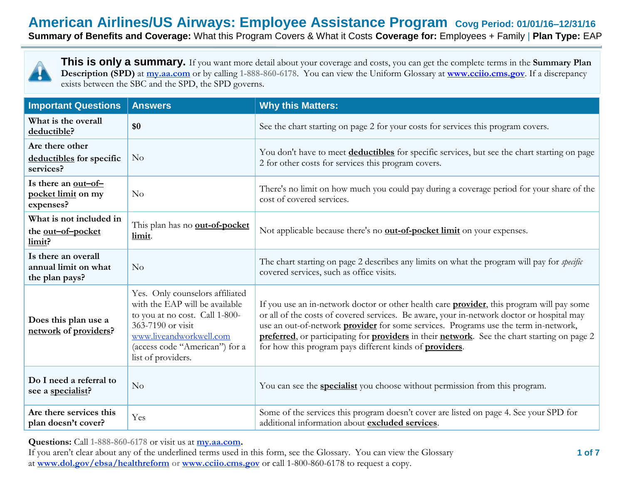# **American Airlines/US Airways: Employee Assistance Program Covg Period: 01/01/16–12/31/16**

**Summary of Benefits and Coverage:** What this Program Covers & What it Costs **Coverage for:** Employees + Family | **Plan Type:** EAP



**This is only a summary.** If you want more detail about your coverage and costs, you can get the complete terms in the **Summary Plan Description (SPD)** at **my.aa.com** or by calling 1-888-860-6178. You can view the Uniform Glossary at **[www.cciio.cms.gov](http://www.cciio.cms.gov/)**. If a discrepancy exists between the SBC and the SPD, the SPD governs.

| <b>Important Questions</b>                                    | <b>Answers</b>                                                                                                                                                                                              | <b>Why this Matters:</b>                                                                                                                                                                                                                                                                                                                                                                                                                                        |  |  |
|---------------------------------------------------------------|-------------------------------------------------------------------------------------------------------------------------------------------------------------------------------------------------------------|-----------------------------------------------------------------------------------------------------------------------------------------------------------------------------------------------------------------------------------------------------------------------------------------------------------------------------------------------------------------------------------------------------------------------------------------------------------------|--|--|
| What is the overall<br>deductible?                            | \$0                                                                                                                                                                                                         | See the chart starting on page 2 for your costs for services this program covers.                                                                                                                                                                                                                                                                                                                                                                               |  |  |
| Are there other<br>deductibles for specific<br>services?      | No                                                                                                                                                                                                          | You don't have to meet deductibles for specific services, but see the chart starting on page<br>2 for other costs for services this program covers.                                                                                                                                                                                                                                                                                                             |  |  |
| Is there an $out-of-$<br>pocket limit on my<br>expenses?      | No                                                                                                                                                                                                          | There's no limit on how much you could pay during a coverage period for your share of the<br>cost of covered services.                                                                                                                                                                                                                                                                                                                                          |  |  |
| What is not included in<br>the out-of-pocket<br>limit?        | This plan has no <b>out-of-pocket</b><br>limit.                                                                                                                                                             | Not applicable because there's no <b>out-of-pocket limit</b> on your expenses.                                                                                                                                                                                                                                                                                                                                                                                  |  |  |
| Is there an overall<br>annual limit on what<br>the plan pays? | No                                                                                                                                                                                                          | The chart starting on page 2 describes any limits on what the program will pay for <i>specific</i><br>covered services, such as office visits.                                                                                                                                                                                                                                                                                                                  |  |  |
| Does this plan use a<br>network of providers?                 | Yes. Only counselors affiliated<br>with the EAP will be available<br>to you at no cost. Call 1-800-<br>363-7190 or visit<br>www.liveandworkwell.com<br>(access code "American") for a<br>list of providers. | If you use an in-network doctor or other health care <b>provider</b> , this program will pay some<br>or all of the costs of covered services. Be aware, your in-network doctor or hospital may<br>use an out-of-network <b>provider</b> for some services. Programs use the term in-network,<br>preferred, or participating for providers in their network. See the chart starting on page 2<br>for how this program pays different kinds of <b>providers</b> . |  |  |
| Do I need a referral to<br>see a specialist?                  | No                                                                                                                                                                                                          | You can see the <b>specialist</b> you choose without permission from this program.                                                                                                                                                                                                                                                                                                                                                                              |  |  |
| Are there services this<br>plan doesn't cover?                | Yes                                                                                                                                                                                                         | Some of the services this program doesn't cover are listed on page 4. See your SPD for<br>additional information about excluded services.                                                                                                                                                                                                                                                                                                                       |  |  |

**Questions:** Call **1-888-860-6178** or visit us at **my.aa.com.**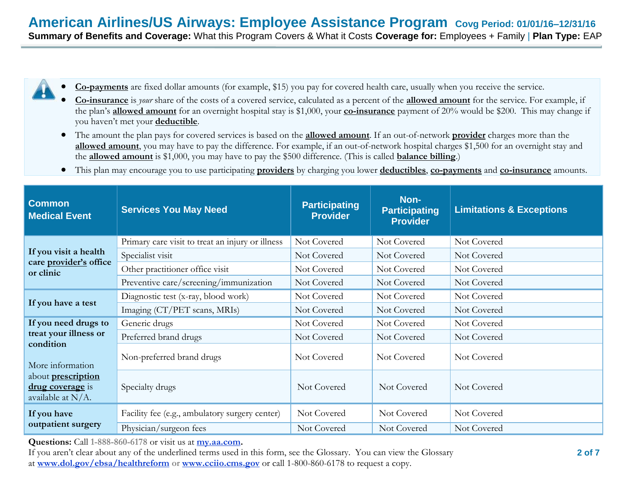- **Co-payments** are fixed dollar amounts (for example, \$15) you pay for covered health care, usually when you receive the service.
	- **Co-insurance** is *your* share of the costs of a covered service, calculated as a percent of the **allowed amount** for the service. For example, if the plan's **allowed amount** for an overnight hospital stay is \$1,000, your **co-insurance** payment of 20% would be \$200. This may change if you haven't met your **deductible**.
	- The amount the plan pays for covered services is based on the **allowed amount**. If an out-of-network **provider** charges more than the **allowed amount**, you may have to pay the difference. For example, if an out-of-network hospital charges \$1,500 for an overnight stay and the **allowed amount** is \$1,000, you may have to pay the \$500 difference. (This is called **balance billing**.)
	- This plan may encourage you to use participating **providers** by charging you lower **deductibles**, **co-payments** and **co-insurance** amounts.

| <b>Common</b><br><b>Medical Event</b>                                        | <b>Services You May Need</b>                     | <b>Participating</b><br><b>Provider</b> | Non-<br><b>Participating</b><br><b>Provider</b> | <b>Limitations &amp; Exceptions</b> |
|------------------------------------------------------------------------------|--------------------------------------------------|-----------------------------------------|-------------------------------------------------|-------------------------------------|
|                                                                              | Primary care visit to treat an injury or illness | Not Covered                             | Not Covered                                     | Not Covered                         |
| If you visit a health                                                        | Specialist visit                                 | Not Covered                             | Not Covered                                     | Not Covered                         |
| care provider's office<br>or clinic                                          | Other practitioner office visit                  | Not Covered                             | Not Covered                                     | Not Covered                         |
|                                                                              | Preventive care/screening/immunization           | Not Covered                             | Not Covered                                     | Not Covered                         |
| If you have a test                                                           | Diagnostic test (x-ray, blood work)              | Not Covered                             | Not Covered                                     | Not Covered                         |
|                                                                              | Imaging (CT/PET scans, MRIs)                     | Not Covered                             | Not Covered                                     | Not Covered                         |
| If you need drugs to                                                         | Generic drugs                                    | Not Covered                             | Not Covered                                     | Not Covered                         |
| treat your illness or                                                        | Preferred brand drugs                            | Not Covered                             | Not Covered                                     | Not Covered                         |
| condition<br>More information                                                | Non-preferred brand drugs                        | Not Covered                             | Not Covered                                     | Not Covered                         |
| about <b>prescription</b><br><b>drug coverage</b> is<br>available at $N/A$ . | Specialty drugs                                  | Not Covered                             | Not Covered                                     | Not Covered                         |
| If you have                                                                  | Facility fee (e.g., ambulatory surgery center)   | Not Covered                             | Not Covered                                     | Not Covered                         |
| outpatient surgery                                                           | Physician/surgeon fees                           | Not Covered                             | Not Covered                                     | Not Covered                         |

**Questions:** Call **1-888-860-6178** or visit us at **my.aa.com.**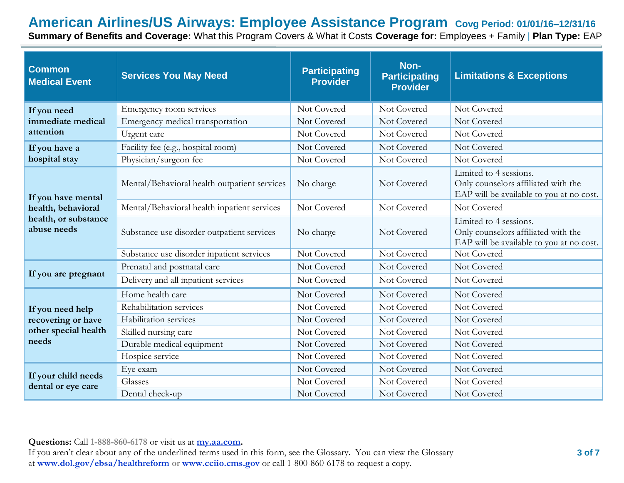# **American Airlines/US Airways: Employee Assistance Program Covg Period: 01/01/16–12/31/16**

**Summary of Benefits and Coverage:** What this Program Covers & What it Costs **Coverage for:** Employees + Family | **Plan Type:** EAP

| <b>Common</b><br><b>Medical Event</b> | <b>Services You May Need</b>                 | <b>Participating</b><br><b>Provider</b> | Non-<br><b>Participating</b><br><b>Provider</b> | <b>Limitations &amp; Exceptions</b>                                                                       |
|---------------------------------------|----------------------------------------------|-----------------------------------------|-------------------------------------------------|-----------------------------------------------------------------------------------------------------------|
| If you need                           | Emergency room services                      | Not Covered                             | Not Covered                                     | Not Covered                                                                                               |
| immediate medical                     | Emergency medical transportation             | Not Covered                             | Not Covered                                     | Not Covered                                                                                               |
| attention                             | Urgent care                                  | Not Covered                             | Not Covered                                     | Not Covered                                                                                               |
| If you have a                         | Facility fee (e.g., hospital room)           | Not Covered                             | Not Covered                                     | Not Covered                                                                                               |
| hospital stay                         | Physician/surgeon fee                        | Not Covered                             | Not Covered                                     | Not Covered                                                                                               |
| If you have mental                    | Mental/Behavioral health outpatient services | No charge                               | Not Covered                                     | Limited to 4 sessions.<br>Only counselors affiliated with the<br>EAP will be available to you at no cost. |
| health, behavioral                    | Mental/Behavioral health inpatient services  | Not Covered                             | Not Covered                                     | Not Covered                                                                                               |
| health, or substance<br>abuse needs   | Substance use disorder outpatient services   | No charge                               | Not Covered                                     | Limited to 4 sessions.<br>Only counselors affiliated with the<br>EAP will be available to you at no cost. |
|                                       | Substance use disorder inpatient services    | Not Covered                             | Not Covered                                     | Not Covered                                                                                               |
|                                       | Prenatal and postnatal care                  | Not Covered                             | Not Covered                                     | Not Covered                                                                                               |
| If you are pregnant                   | Delivery and all inpatient services          | Not Covered                             | Not Covered                                     | Not Covered                                                                                               |
|                                       | Home health care                             | Not Covered                             | Not Covered                                     | Not Covered                                                                                               |
| If you need help                      | Rehabilitation services                      | Not Covered                             | Not Covered                                     | Not Covered                                                                                               |
| recovering or have                    | Habilitation services                        | Not Covered                             | Not Covered                                     | Not Covered                                                                                               |
| other special health                  | Skilled nursing care                         | Not Covered                             | Not Covered                                     | Not Covered                                                                                               |
| needs                                 | Durable medical equipment                    | Not Covered                             | Not Covered                                     | Not Covered                                                                                               |
|                                       | Hospice service                              | Not Covered                             | Not Covered                                     | Not Covered                                                                                               |
| If your child needs                   | Eye exam                                     | Not Covered                             | Not Covered                                     | Not Covered                                                                                               |
| dental or eye care                    | Glasses                                      | Not Covered                             | Not Covered                                     | Not Covered                                                                                               |
|                                       | Dental check-up                              | Not Covered                             | Not Covered                                     | Not Covered                                                                                               |

**Questions:** Call **1-888-860-6178** or visit us at **my.aa.com.**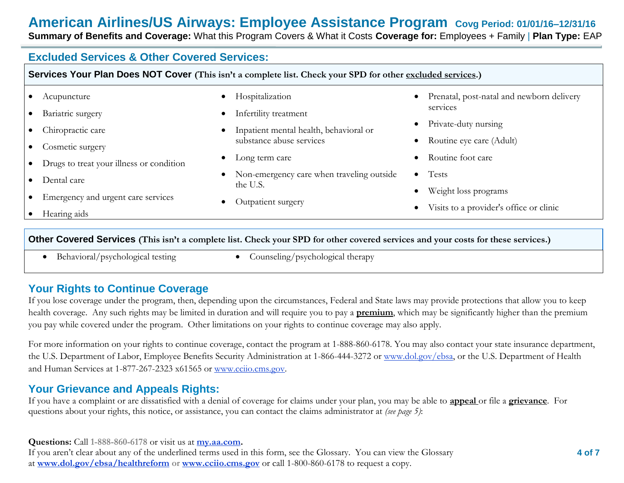# **American Airlines/US Airways: Employee Assistance Program Covg Period: 01/01/16–12/31/16**

**Summary of Benefits and Coverage:** What this Program Covers & What it Costs **Coverage for:** Employees + Family | **Plan Type:** EAP

## **Excluded Services & Other Covered Services:**

| Acupuncture                              | Hospitalization<br>$\bullet$                | Prenatal, post-natal and newborn delivery<br>$\bullet$ |
|------------------------------------------|---------------------------------------------|--------------------------------------------------------|
| Bariatric surgery                        | Infertility treatment<br>$\bullet$          | services                                               |
| Chiropractic care                        | Inpatient mental health, behavioral or      | Private-duty nursing<br>$\bullet$                      |
| Cosmetic surgery                         | substance abuse services                    | Routine eye care (Adult)<br>$\bullet$                  |
| Drugs to treat your illness or condition | Long term care<br>$\bullet$                 | Routine foot care<br>$\bullet$                         |
| Dental care                              | • Non-emergency care when traveling outside | $\bullet$ Tests                                        |
|                                          | the U.S.                                    | Weight loss programs                                   |
| Emergency and urgent care services       | Outpatient surgery<br>$\bullet$             | Visits to a provider's office or clinic<br>$\bullet$   |
| Hearing aids                             |                                             |                                                        |

- Behavioral/psychological testing Counseling/psychological therapy
	-

## **Your Rights to Continue Coverage**

If you lose coverage under the program, then, depending upon the circumstances, Federal and State laws may provide protections that allow you to keep health coverage. Any such rights may be limited in duration and will require you to pay a **premium**, which may be significantly higher than the premium you pay while covered under the program. Other limitations on your rights to continue coverage may also apply.

For more information on your rights to continue coverage, contact the program at 1-888-860-6178. You may also contact your state insurance department, the U.S. Department of Labor, Employee Benefits Security Administration at 1-866-444-3272 or www.dol.gov/ebsa, or the U.S. Department of Health and Human Services at 1-877-267-2323 x61565 or www.cciio.cms.gov.

## **Your Grievance and Appeals Rights:**

If you have a complaint or are dissatisfied with a denial of coverage for claims under your plan, you may be able to **appeal** or file a **grievance**. For questions about your rights, this notice, or assistance, you can contact the claims administrator at *(see page 5)*:

#### **Questions:** Call **1-888-860-6178** or visit us at **my.aa.com.**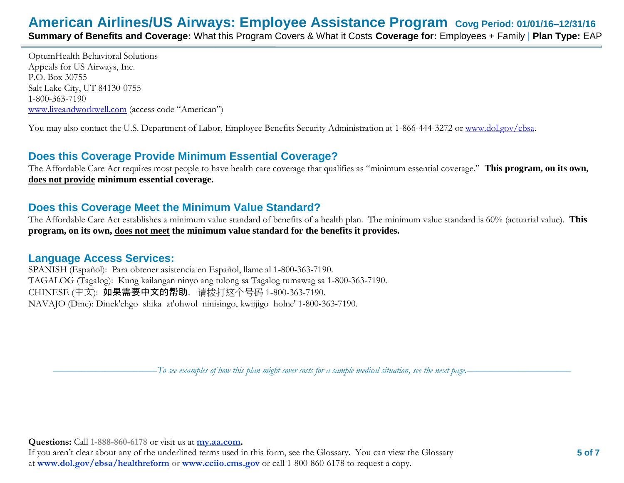OptumHealth Behavioral Solutions Appeals for US Airways, Inc. P.O. Box 30755 Salt Lake City, UT 84130-0755 1-800-363-7190 [www.liveandworkwell.com](http://www.liveandworkwell.com/) (access code "American")

You may also contact the U.S. Department of Labor, Employee Benefits Security Administration at 1-866-444-3272 or [www.dol.gov/ebsa.](http://www.dol.gov/ebsa)

## **Does this Coverage Provide Minimum Essential Coverage?**

The Affordable Care Act requires most people to have health care coverage that qualifies as "minimum essential coverage." **This program, on its own, does not provide minimum essential coverage.**

## **Does this Coverage Meet the Minimum Value Standard?**

The Affordable Care Act establishes a minimum value standard of benefits of a health plan. The minimum value standard is 60% (actuarial value). **This program, on its own, does not meet the minimum value standard for the benefits it provides.**

## **Language Access Services:**

SPANISH (Español): Para obtener asistencia en Español, llame al 1-800-363-7190. TAGALOG (Tagalog): Kung kailangan ninyo ang tulong sa Tagalog tumawag sa 1-800-363-7190. CHINESE (中文): 如果需要中文的帮助, 请拨打这个号码 1-800-363-7190. NAVAJO (Dine): Dinek'ehgo shika at'ohwol ninisingo, kwiijigo holne' 1-800-363-7190.

––––––––––––––––––––––*To see examples of how this plan might cover costs for a sample medical situation, see the next page.–––––––––––*–––––––––––

**Questions:** Call **1-888-860-6178** or visit us at **my.aa.com.**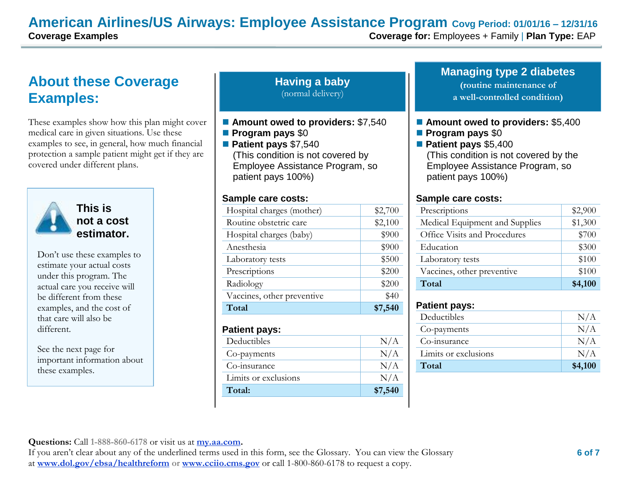## **American Airlines/US Airways: Employee Assistance Program Covg Period: 01/01/16 – 12/31/16**

# **About these Coverage Examples:**

These examples show how this plan might cover medical care in given situations. Use these examples to see, in general, how much financial protection a sample patient might get if they are covered under different plans.



**This is not a cost estimator.** 

Don't use these examples to estimate your actual costs under this program. The actual care you receive will be different from these examples, and the cost of that care will also be different.

See the next page for important information about these examples.

#### **Having a baby** (normal delivery)

- Amount owed to providers: \$7,540
- **Program pays** \$0
- **Patient pays** \$7,540 (This condition is not covered by Employee Assistance Program, so
- patient pays 100%)

#### **Sample care costs:**

| Hospital charges (mother)  | \$2,700 |
|----------------------------|---------|
| Routine obstetric care     | \$2,100 |
| Hospital charges (baby)    | \$900   |
| Anesthesia                 | \$900   |
| Laboratory tests           | \$500   |
| Prescriptions              | \$200   |
| Radiology                  | \$200   |
| Vaccines, other preventive | \$40    |
| Total                      | \$7,540 |

#### **Patient pays:**

| Deductibles          | N/A     |
|----------------------|---------|
| Co-payments          | N/A     |
| Co-insurance         | N/A     |
| Limits or exclusions | N/A     |
| Total:               | \$7,540 |

**Managing type 2 diabetes (routine maintenance of**

**a well-controlled condition)**

- **Amount owed to providers: \$5,400**
- **Program pays** \$0
- **Patient pays** \$5,400 (This condition is not covered by the Employee Assistance Program, so patient pays 100%)

#### **Sample care costs:**

| Prescriptions                  | \$2,900 |
|--------------------------------|---------|
| Medical Equipment and Supplies | \$1,300 |
| Office Visits and Procedures   | \$700   |
| Education                      | \$300   |
| Laboratory tests               | \$100   |
| Vaccines, other preventive     | \$100   |
| Total                          | \$4,100 |

#### **Patient pays:**

| Deductibles          | N/A     |
|----------------------|---------|
| Co-payments          | N/A     |
| Co-insurance         | N/A     |
| Limits or exclusions | N/A     |
| Total                | \$4,100 |

**Questions:** Call **1-888-860-6178** or visit us at **my.aa.com.**